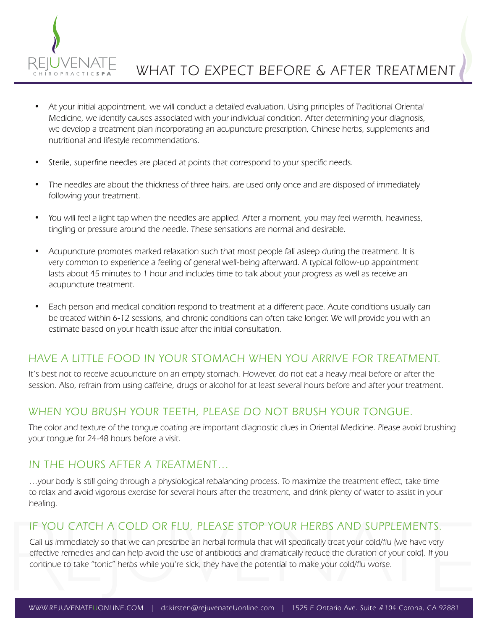

- At your initial appointment, we will conduct a detailed evaluation. Using principles of Traditional Oriental Medicine, we identify causes associated with your individual condition. After determining your diagnosis, we develop a treatment plan incorporating an acupuncture prescription, Chinese herbs, supplements and nutritional and lifestyle recommendations.
- Sterile, superfine needles are placed at points that correspond to your specific needs.
- The needles are about the thickness of three hairs, are used only once and are disposed of immediately following your treatment.
- You will feel a light tap when the needles are applied. After a moment, you may feel warmth, heaviness, tingling or pressure around the needle. These sensations are normal and desirable.
- Acupuncture promotes marked relaxation such that most people fall asleep during the treatment. It is very common to experience a feeling of general well-being afterward. A typical follow-up appointment lasts about 45 minutes to 1 hour and includes time to talk about your progress as well as receive an acupuncture treatment.
- Each person and medical condition respond to treatment at a different pace. Acute conditions usually can be treated within 6-12 sessions, and chronic conditions can often take longer. We will provide you with an estimate based on your health issue after the initial consultation.

# HAVE A LITTLE FOOD IN YOUR STOMACH WHEN YOU ARRIVE FOR TREATMENT.

It's best not to receive acupuncture on an empty stomach. However, do not eat a heavy meal before or after the session. Also, refrain from using caffeine, drugs or alcohol for at least several hours before and after your treatment.

# WHEN YOU BRUSH YOUR TEETH, PLEASE DO NOT BRUSH YOUR TONGUE.

The color and texture of the tongue coating are important diagnostic clues in Oriental Medicine. Please avoid brushing your tongue for 24-48 hours before a visit.

### IN THE HOURS AFTER A TREATMENT…

…your body is still going through a physiological rebalancing process. To maximize the treatment effect, take time to relax and avoid vigorous exercise for several hours after the treatment, and drink plenty of water to assist in your healing.

### IF YOU CATCH A COLD OR FLU, PLEASE STOP YOUR HERBS AND SUPPLEMENTS.

Call us immediately so that we can prescribe an herbal formula that will specifically treat your cold/flu (we have very effective remedies and can help avoid the use of antibiotics and dramatically reduce the duration of your cold). If you continue to take "tonic" herbs while you're sick, they have the potential to make your cold/flu worse.